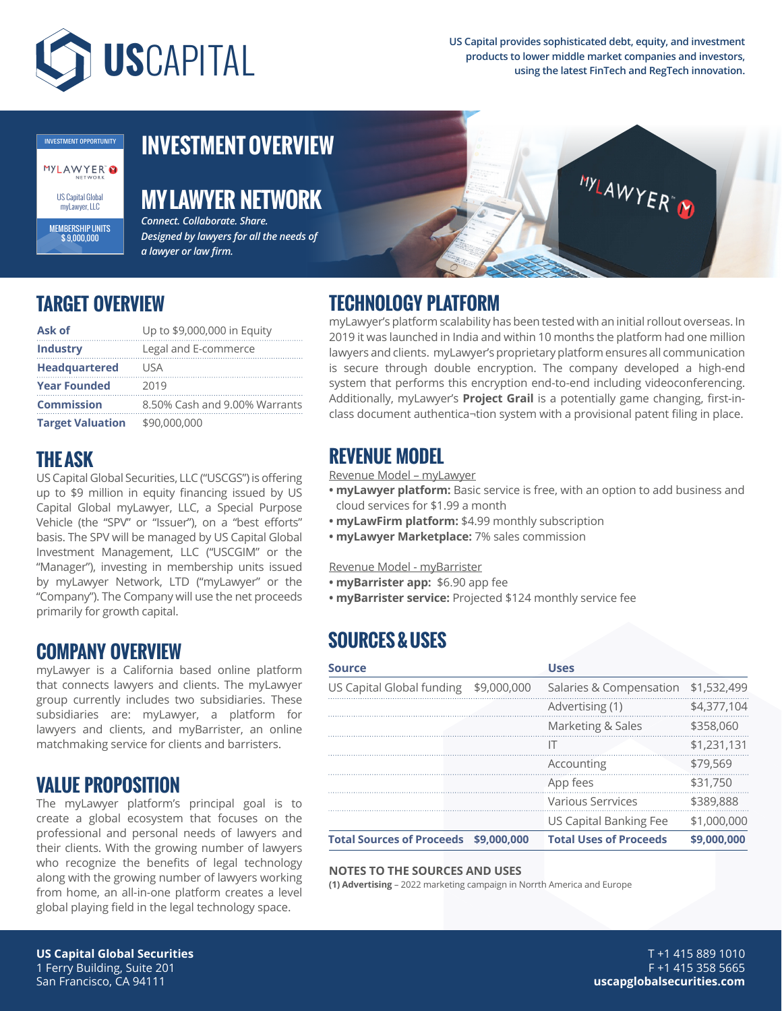

**US Capital provides sophisticated debt, equity, and investment products to lower middle market companies and investors, using the latest FinTech and RegTech innovation.**



MEMBERSHIP UNITS \$ 9,000,000

**THE ASK**

**TARGET OVERVIEW**

**Headquartered** USA **Year Founded** 2019

**Target Valuation** \$90,000,000

**Ask of** Up to \$9,000,000 in Equity **Industry** Legal and E-commerce

# **INVESTMENT OVERVIEW**

## **MY LAWYER NETWORK**

*Connect. Collaborate. Share. Designed by lawyers for all the needs of a lawyer or law firm.*

## **TECHNOLOGY PLATFORM**

myLawyer's platform scalability has been tested with an initial rollout overseas. In 2019 it was launched in India and within 10 months the platform had one million lawyers and clients. myLawyer's proprietary platform ensures all communication is secure through double encryption. The company developed a high-end system that performs this encryption end-to-end including videoconferencing. Additionally, myLawyer's **Project Grail** is a potentially game changing, first-inclass document authentica¬tion system with a provisional patent filing in place.

- **myLawyer platform:** Basic service is free, with an option to add business and cloud services for \$1.99 a month
- **myLawFirm platform:** \$4.99 monthly subscription
- **myLawyer Marketplace:** 7% sales commission
- **myBarrister app:** \$6.90 app fee
- **myBarrister service:** Projected \$124 monthly service fee

## **SOURCES & USES**

| <b>Source</b>                    |             | <b>Uses</b>                   |             |
|----------------------------------|-------------|-------------------------------|-------------|
| US Capital Global funding        | \$9,000,000 | Salaries & Compensation       | \$1,532,499 |
|                                  |             | Advertising (1)               | \$4,377,104 |
|                                  |             | Marketing & Sales             | \$358,060   |
|                                  |             | IΤ                            | \$1,231,131 |
|                                  |             | Accounting                    | \$79,569    |
|                                  |             | App fees                      | \$31,750    |
|                                  |             | <b>Various Serrvices</b>      | \$389,888   |
|                                  |             | US Capital Banking Fee        | \$1,000,000 |
| <b>Total Sources of Proceeds</b> | \$9,000.000 | <b>Total Uses of Proceeds</b> | \$9,000,000 |

### **NOTES TO THE SOURCES AND USES**

**(1) Advertising** – 2022 marketing campaign in Norrth America and Europe

"Company"). The Company will use the net proceeds

myLawyer is a California based online platform that connects lawyers and clients. The myLawyer group currently includes two subsidiaries. These subsidiaries are: myLawyer, a platform for lawyers and clients, and myBarrister, an online matchmaking service for clients and barristers.

The myLawyer platform's principal goal is to create a global ecosystem that focuses on the professional and personal needs of lawyers and their clients. With the growing number of lawyers who recognize the benefits of legal technology along with the growing number of lawyers working from home, an all-in-one platform creates a level global playing field in the legal technology space.

primarily for growth capital.

**COMPANY OVERVIEW**

**VALUE PROPOSITION**

### T +1 415 889 1010 F +1 415 358 5665 **uscapglobalsecurities.com**

### US Capital Global Securities, LLC ("USCGS") is offering up to \$9 million in equity financing issued by US Capital Global myLawyer, LLC, a Special Purpose Vehicle (the "SPV" or "Issuer"), on a "best efforts" basis. The SPV will be managed by US Capital Global Investment Management, LLC ("USCGIM" or the "Manager"), investing in membership units issued by myLawyer Network, LTD ("myLawyer" or the **REVENUE MODEL** Revenue Model – myLawyer Revenue Model - myBarrister



**MYLAWYER**